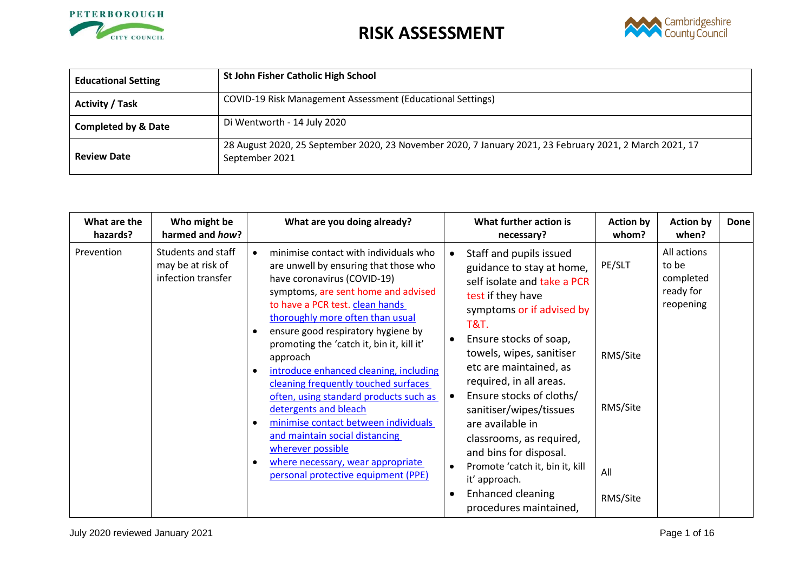



| <b>Educational Setting</b>     | St John Fisher Catholic High School                                                                                       |
|--------------------------------|---------------------------------------------------------------------------------------------------------------------------|
| <b>Activity / Task</b>         | COVID-19 Risk Management Assessment (Educational Settings)                                                                |
| <b>Completed by &amp; Date</b> | Di Wentworth - 14 July 2020                                                                                               |
| <b>Review Date</b>             | 28 August 2020, 25 September 2020, 23 November 2020, 7 January 2021, 23 February 2021, 2 March 2021, 17<br>September 2021 |

| What are the<br>hazards? | Who might be<br>harmed and how?                               | What are you doing already?                                                                                                                                                                                                                                                                                                                                                                                                                                                                                                                                                                                                                                             |                        | What further action is<br>necessary?                                                                                                                                                                                                                                                                                                                                                                                                                                                                           | <b>Action by</b><br>whom?                         | <b>Action by</b><br>when?                                   | Done |
|--------------------------|---------------------------------------------------------------|-------------------------------------------------------------------------------------------------------------------------------------------------------------------------------------------------------------------------------------------------------------------------------------------------------------------------------------------------------------------------------------------------------------------------------------------------------------------------------------------------------------------------------------------------------------------------------------------------------------------------------------------------------------------------|------------------------|----------------------------------------------------------------------------------------------------------------------------------------------------------------------------------------------------------------------------------------------------------------------------------------------------------------------------------------------------------------------------------------------------------------------------------------------------------------------------------------------------------------|---------------------------------------------------|-------------------------------------------------------------|------|
| Prevention               | Students and staff<br>may be at risk of<br>infection transfer | minimise contact with individuals who<br>$\bullet$<br>are unwell by ensuring that those who<br>have coronavirus (COVID-19)<br>symptoms, are sent home and advised<br>to have a PCR test. clean hands<br>thoroughly more often than usual<br>ensure good respiratory hygiene by<br>promoting the 'catch it, bin it, kill it'<br>approach<br>introduce enhanced cleaning, including<br>cleaning frequently touched surfaces<br>often, using standard products such as<br>detergents and bleach<br>minimise contact between individuals<br>and maintain social distancing<br>wherever possible<br>where necessary, wear appropriate<br>personal protective equipment (PPE) | $\bullet$<br>$\bullet$ | Staff and pupils issued<br>guidance to stay at home,<br>self isolate and take a PCR<br>test if they have<br>symptoms or if advised by<br><b>T&amp;T.</b><br>Ensure stocks of soap,<br>towels, wipes, sanitiser<br>etc are maintained, as<br>required, in all areas.<br>Ensure stocks of cloths/<br>sanitiser/wipes/tissues<br>are available in<br>classrooms, as required,<br>and bins for disposal.<br>Promote 'catch it, bin it, kill<br>it' approach.<br><b>Enhanced cleaning</b><br>procedures maintained, | PE/SLT<br>RMS/Site<br>RMS/Site<br>All<br>RMS/Site | All actions<br>to be<br>completed<br>ready for<br>reopening |      |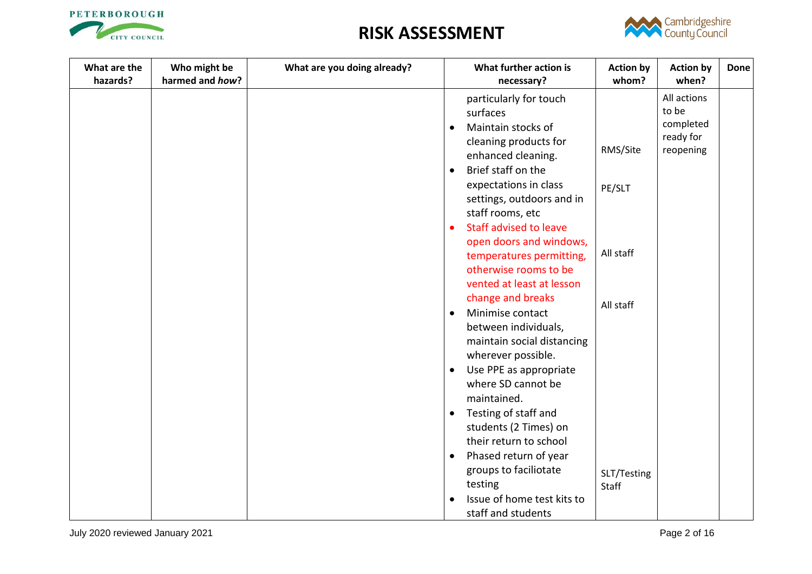



| What are the<br>hazards? | Who might be<br>harmed and how? | What are you doing already? | What further action is<br>necessary?       | <b>Action by</b><br>whom? | <b>Action by</b><br>when? | <b>Done</b> |
|--------------------------|---------------------------------|-----------------------------|--------------------------------------------|---------------------------|---------------------------|-------------|
|                          |                                 |                             | particularly for touch                     |                           | All actions               |             |
|                          |                                 |                             | surfaces                                   |                           | to be                     |             |
|                          |                                 |                             | Maintain stocks of<br>$\bullet$            |                           | completed                 |             |
|                          |                                 |                             | cleaning products for                      |                           | ready for                 |             |
|                          |                                 |                             | enhanced cleaning.                         | RMS/Site                  | reopening                 |             |
|                          |                                 |                             | Brief staff on the<br>$\bullet$            |                           |                           |             |
|                          |                                 |                             | expectations in class                      | PE/SLT                    |                           |             |
|                          |                                 |                             | settings, outdoors and in                  |                           |                           |             |
|                          |                                 |                             | staff rooms, etc                           |                           |                           |             |
|                          |                                 |                             | <b>Staff advised to leave</b><br>$\bullet$ |                           |                           |             |
|                          |                                 |                             | open doors and windows,                    |                           |                           |             |
|                          |                                 |                             | temperatures permitting,                   | All staff                 |                           |             |
|                          |                                 |                             | otherwise rooms to be                      |                           |                           |             |
|                          |                                 |                             | vented at least at lesson                  |                           |                           |             |
|                          |                                 |                             | change and breaks                          | All staff                 |                           |             |
|                          |                                 |                             | Minimise contact<br>$\bullet$              |                           |                           |             |
|                          |                                 |                             | between individuals,                       |                           |                           |             |
|                          |                                 |                             | maintain social distancing                 |                           |                           |             |
|                          |                                 |                             | wherever possible.                         |                           |                           |             |
|                          |                                 |                             | Use PPE as appropriate<br>$\bullet$        |                           |                           |             |
|                          |                                 |                             | where SD cannot be                         |                           |                           |             |
|                          |                                 |                             | maintained.                                |                           |                           |             |
|                          |                                 |                             | Testing of staff and<br>$\bullet$          |                           |                           |             |
|                          |                                 |                             | students (2 Times) on                      |                           |                           |             |
|                          |                                 |                             | their return to school                     |                           |                           |             |
|                          |                                 |                             | Phased return of year<br>$\bullet$         |                           |                           |             |
|                          |                                 |                             | groups to faciliotate                      | SLT/Testing               |                           |             |
|                          |                                 |                             | testing                                    | <b>Staff</b>              |                           |             |
|                          |                                 |                             | Issue of home test kits to<br>$\bullet$    |                           |                           |             |
|                          |                                 |                             | staff and students                         |                           |                           |             |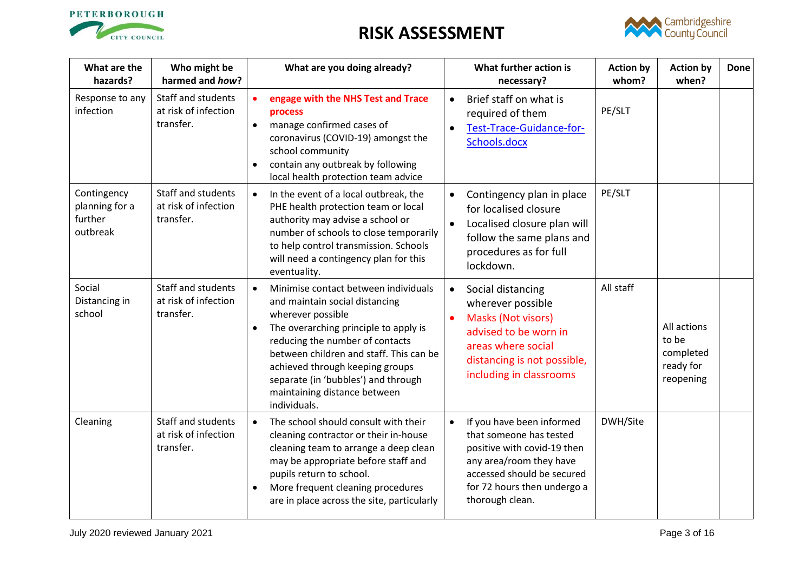



<span id="page-2-1"></span><span id="page-2-0"></span>

| What are the<br>hazards?                             | Who might be<br>harmed and how?                         | What are you doing already?                                                                                                                                                                                                                                                                                                                               |                        | What further action is<br>necessary?                                                                                                                                                           | <b>Action by</b><br>whom? | <b>Action by</b><br>when?                                   | <b>Done</b> |
|------------------------------------------------------|---------------------------------------------------------|-----------------------------------------------------------------------------------------------------------------------------------------------------------------------------------------------------------------------------------------------------------------------------------------------------------------------------------------------------------|------------------------|------------------------------------------------------------------------------------------------------------------------------------------------------------------------------------------------|---------------------------|-------------------------------------------------------------|-------------|
| Response to any<br>infection                         | Staff and students<br>at risk of infection<br>transfer. | engage with the NHS Test and Trace<br>$\bullet$<br>process<br>manage confirmed cases of<br>$\bullet$<br>coronavirus (COVID-19) amongst the<br>school community<br>contain any outbreak by following<br>local health protection team advice                                                                                                                | $\bullet$<br>$\bullet$ | Brief staff on what is<br>required of them<br>Test-Trace-Guidance-for-<br>Schools.docx                                                                                                         | PE/SLT                    |                                                             |             |
| Contingency<br>planning for a<br>further<br>outbreak | Staff and students<br>at risk of infection<br>transfer. | In the event of a local outbreak, the<br>$\bullet$<br>PHE health protection team or local<br>authority may advise a school or<br>number of schools to close temporarily<br>to help control transmission. Schools<br>will need a contingency plan for this<br>eventuality.                                                                                 |                        | Contingency plan in place<br>for localised closure<br>Localised closure plan will<br>follow the same plans and<br>procedures as for full<br>lockdown.                                          | PE/SLT                    |                                                             |             |
| Social<br>Distancing in<br>school                    | Staff and students<br>at risk of infection<br>transfer. | Minimise contact between individuals<br>$\bullet$<br>and maintain social distancing<br>wherever possible<br>The overarching principle to apply is<br>reducing the number of contacts<br>between children and staff. This can be<br>achieved through keeping groups<br>separate (in 'bubbles') and through<br>maintaining distance between<br>individuals. | $\bullet$              | Social distancing<br>wherever possible<br>Masks (Not visors)<br>advised to be worn in<br>areas where social<br>distancing is not possible,<br>including in classrooms                          | All staff                 | All actions<br>to be<br>completed<br>ready for<br>reopening |             |
| Cleaning                                             | Staff and students<br>at risk of infection<br>transfer. | The school should consult with their<br>$\bullet$<br>cleaning contractor or their in-house<br>cleaning team to arrange a deep clean<br>may be appropriate before staff and<br>pupils return to school.<br>More frequent cleaning procedures<br>are in place across the site, particularly                                                                 |                        | If you have been informed<br>that someone has tested<br>positive with covid-19 then<br>any area/room they have<br>accessed should be secured<br>for 72 hours then undergo a<br>thorough clean. | DWH/Site                  |                                                             |             |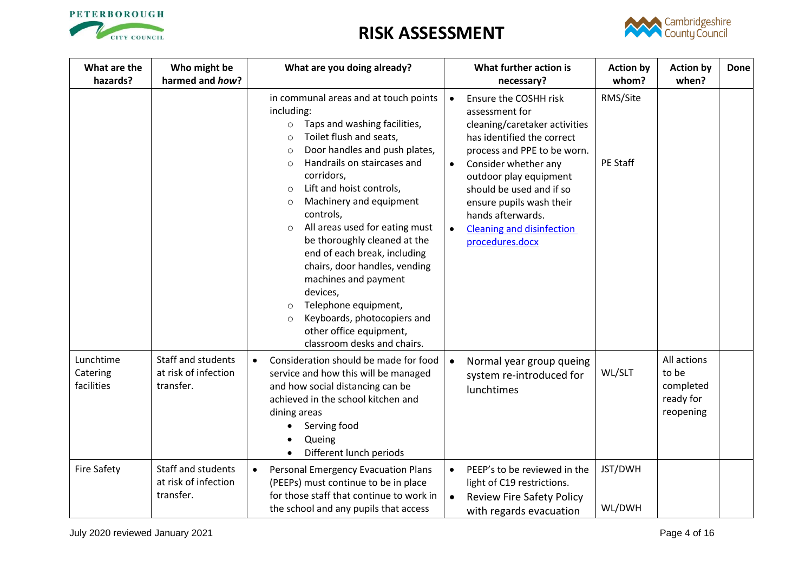



| What are the<br>hazards?            | Who might be<br>harmed and how?                         | What are you doing already?                                                                                                                                                                                                                                                                                                                                                                                                                                                                                                                                                                                                                                 |                                     | What further action is<br>necessary?                                                                                                                                                                                                                                                                                        | <b>Action by</b><br>whom?   | <b>Action by</b><br>when?                                   | <b>Done</b> |
|-------------------------------------|---------------------------------------------------------|-------------------------------------------------------------------------------------------------------------------------------------------------------------------------------------------------------------------------------------------------------------------------------------------------------------------------------------------------------------------------------------------------------------------------------------------------------------------------------------------------------------------------------------------------------------------------------------------------------------------------------------------------------------|-------------------------------------|-----------------------------------------------------------------------------------------------------------------------------------------------------------------------------------------------------------------------------------------------------------------------------------------------------------------------------|-----------------------------|-------------------------------------------------------------|-------------|
|                                     |                                                         | in communal areas and at touch points<br>including:<br>Taps and washing facilities,<br>$\circ$<br>Toilet flush and seats,<br>$\circ$<br>Door handles and push plates,<br>$\circ$<br>Handrails on staircases and<br>$\circ$<br>corridors,<br>Lift and hoist controls,<br>$\circ$<br>Machinery and equipment<br>$\circ$<br>controls,<br>All areas used for eating must<br>$\circ$<br>be thoroughly cleaned at the<br>end of each break, including<br>chairs, door handles, vending<br>machines and payment<br>devices,<br>Telephone equipment,<br>$\circ$<br>Keyboards, photocopiers and<br>$\circ$<br>other office equipment,<br>classroom desks and chairs. | $\bullet$<br>$\bullet$<br>$\bullet$ | Ensure the COSHH risk<br>assessment for<br>cleaning/caretaker activities<br>has identified the correct<br>process and PPE to be worn.<br>Consider whether any<br>outdoor play equipment<br>should be used and if so<br>ensure pupils wash their<br>hands afterwards.<br><b>Cleaning and disinfection</b><br>procedures.docx | RMS/Site<br><b>PE Staff</b> |                                                             |             |
| Lunchtime<br>Catering<br>facilities | Staff and students<br>at risk of infection<br>transfer. | Consideration should be made for food<br>$\bullet$<br>service and how this will be managed<br>and how social distancing can be<br>achieved in the school kitchen and<br>dining areas<br>Serving food<br>Queing<br>Different lunch periods                                                                                                                                                                                                                                                                                                                                                                                                                   | $\bullet$                           | Normal year group queing<br>system re-introduced for<br>lunchtimes                                                                                                                                                                                                                                                          | WL/SLT                      | All actions<br>to be<br>completed<br>ready for<br>reopening |             |
| <b>Fire Safety</b>                  | Staff and students<br>at risk of infection<br>transfer. | Personal Emergency Evacuation Plans<br>$\bullet$<br>(PEEPs) must continue to be in place<br>for those staff that continue to work in<br>the school and any pupils that access                                                                                                                                                                                                                                                                                                                                                                                                                                                                               | $\bullet$<br>$\bullet$              | PEEP's to be reviewed in the<br>light of C19 restrictions.<br><b>Review Fire Safety Policy</b><br>with regards evacuation                                                                                                                                                                                                   | JST/DWH<br>WL/DWH           |                                                             |             |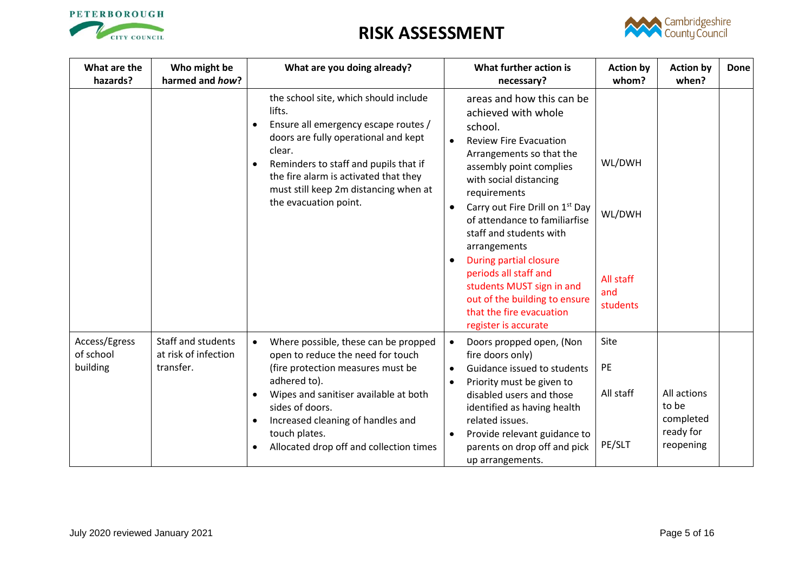



| What are the<br>hazards?               | Who might be<br>harmed and how?                                | What are you doing already?                                                                                                                                                                                                                                                                                           | What further action is<br>necessary?                                                                                                                                                                                                                                                                                                                                                                                                                                                          | <b>Action by</b><br>whom?                        | <b>Action by</b><br>when?                                   | Done |
|----------------------------------------|----------------------------------------------------------------|-----------------------------------------------------------------------------------------------------------------------------------------------------------------------------------------------------------------------------------------------------------------------------------------------------------------------|-----------------------------------------------------------------------------------------------------------------------------------------------------------------------------------------------------------------------------------------------------------------------------------------------------------------------------------------------------------------------------------------------------------------------------------------------------------------------------------------------|--------------------------------------------------|-------------------------------------------------------------|------|
|                                        |                                                                | the school site, which should include<br>lifts.<br>Ensure all emergency escape routes /<br>doors are fully operational and kept<br>clear.<br>Reminders to staff and pupils that if<br>the fire alarm is activated that they<br>must still keep 2m distancing when at<br>the evacuation point.                         | areas and how this can be<br>achieved with whole<br>school.<br><b>Review Fire Evacuation</b><br>Arrangements so that the<br>assembly point complies<br>with social distancing<br>requirements<br>Carry out Fire Drill on 1 <sup>st</sup> Day<br>of attendance to familiarfise<br>staff and students with<br>arrangements<br>During partial closure<br>periods all staff and<br>students MUST sign in and<br>out of the building to ensure<br>that the fire evacuation<br>register is accurate | WL/DWH<br>WL/DWH<br>All staff<br>and<br>students |                                                             |      |
| Access/Egress<br>of school<br>building | <b>Staff and students</b><br>at risk of infection<br>transfer. | Where possible, these can be propped<br>$\bullet$<br>open to reduce the need for touch<br>(fire protection measures must be<br>adhered to).<br>Wipes and sanitiser available at both<br>$\bullet$<br>sides of doors.<br>Increased cleaning of handles and<br>touch plates.<br>Allocated drop off and collection times | Doors propped open, (Non<br>$\bullet$<br>fire doors only)<br>Guidance issued to students<br>Priority must be given to<br>$\bullet$<br>disabled users and those<br>identified as having health<br>related issues.<br>Provide relevant guidance to<br>parents on drop off and pick<br>up arrangements.                                                                                                                                                                                          | Site<br>PE<br>All staff<br>PE/SLT                | All actions<br>to be<br>completed<br>ready for<br>reopening |      |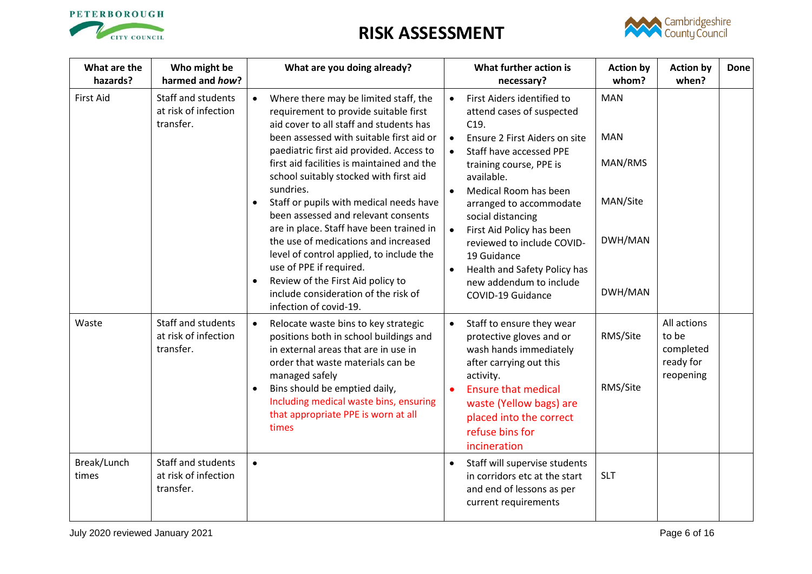



| What are the<br>hazards? | Who might be<br>harmed and how?                                | What are you doing already?                                                                                                                                                                |           | What further action is<br>necessary?                                                                                    | <b>Action by</b><br>whom? | <b>Action by</b><br>when?                                   | <b>Done</b> |
|--------------------------|----------------------------------------------------------------|--------------------------------------------------------------------------------------------------------------------------------------------------------------------------------------------|-----------|-------------------------------------------------------------------------------------------------------------------------|---------------------------|-------------------------------------------------------------|-------------|
| <b>First Aid</b>         | <b>Staff and students</b><br>at risk of infection<br>transfer. | Where there may be limited staff, the<br>$\bullet$<br>requirement to provide suitable first<br>aid cover to all staff and students has                                                     | $\bullet$ | First Aiders identified to<br>attend cases of suspected<br>C <sub>19</sub> .                                            | <b>MAN</b>                |                                                             |             |
|                          |                                                                | been assessed with suitable first aid or<br>paediatric first aid provided. Access to<br>first aid facilities is maintained and the<br>school suitably stocked with first aid               |           | Ensure 2 First Aiders on site<br>Staff have accessed PPE<br>training course, PPE is<br>available.                       | <b>MAN</b><br>MAN/RMS     |                                                             |             |
|                          |                                                                | sundries.<br>$\bullet$<br>Staff or pupils with medical needs have<br>$\bullet$<br>been assessed and relevant consents<br>are in place. Staff have been trained in                          |           | Medical Room has been<br>arranged to accommodate<br>social distancing                                                   | MAN/Site                  |                                                             |             |
|                          |                                                                | the use of medications and increased<br>level of control applied, to include the<br>use of PPE if required.                                                                                | $\bullet$ | First Aid Policy has been<br>reviewed to include COVID-<br>19 Guidance<br>Health and Safety Policy has                  | DWH/MAN                   |                                                             |             |
|                          |                                                                | Review of the First Aid policy to<br>include consideration of the risk of<br>infection of covid-19.                                                                                        |           | new addendum to include<br>COVID-19 Guidance                                                                            | DWH/MAN                   |                                                             |             |
| Waste                    | Staff and students<br>at risk of infection<br>transfer.        | $\bullet$<br>Relocate waste bins to key strategic<br>positions both in school buildings and<br>in external areas that are in use in<br>order that waste materials can be<br>managed safely |           | Staff to ensure they wear<br>protective gloves and or<br>wash hands immediately<br>after carrying out this<br>activity. | RMS/Site                  | All actions<br>to be<br>completed<br>ready for<br>reopening |             |
|                          |                                                                | Bins should be emptied daily,<br>Including medical waste bins, ensuring<br>that appropriate PPE is worn at all<br>times                                                                    |           | <b>Ensure that medical</b><br>waste (Yellow bags) are<br>placed into the correct<br>refuse bins for<br>incineration     | RMS/Site                  |                                                             |             |
| Break/Lunch<br>times     | Staff and students<br>at risk of infection<br>transfer.        | $\bullet$                                                                                                                                                                                  | $\bullet$ | Staff will supervise students<br>in corridors etc at the start<br>and end of lessons as per<br>current requirements     | <b>SLT</b>                |                                                             |             |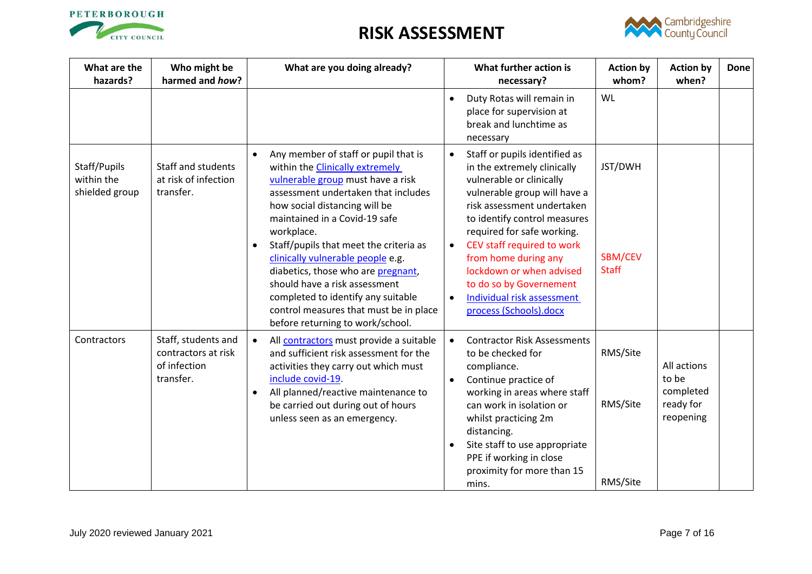



| What are the<br>hazards?                     | Who might be<br>harmed and how?                                         | What are you doing already?                                                                                                                                                                                                                                                                                                                                                                                                                                                                                                                    |                                     | What further action is<br>necessary?                                                                                                                                                                                                                                                                                                                                                      | <b>Action by</b><br>whom?          | <b>Action by</b><br>when?                                   | <b>Done</b> |
|----------------------------------------------|-------------------------------------------------------------------------|------------------------------------------------------------------------------------------------------------------------------------------------------------------------------------------------------------------------------------------------------------------------------------------------------------------------------------------------------------------------------------------------------------------------------------------------------------------------------------------------------------------------------------------------|-------------------------------------|-------------------------------------------------------------------------------------------------------------------------------------------------------------------------------------------------------------------------------------------------------------------------------------------------------------------------------------------------------------------------------------------|------------------------------------|-------------------------------------------------------------|-------------|
|                                              |                                                                         |                                                                                                                                                                                                                                                                                                                                                                                                                                                                                                                                                |                                     | Duty Rotas will remain in<br>place for supervision at<br>break and lunchtime as<br>necessary                                                                                                                                                                                                                                                                                              | WL                                 |                                                             |             |
| Staff/Pupils<br>within the<br>shielded group | Staff and students<br>at risk of infection<br>transfer.                 | Any member of staff or pupil that is<br>$\bullet$<br>within the <b>Clinically extremely</b><br>vulnerable group must have a risk<br>assessment undertaken that includes<br>how social distancing will be<br>maintained in a Covid-19 safe<br>workplace.<br>Staff/pupils that meet the criteria as<br>$\bullet$<br>clinically vulnerable people e.g.<br>diabetics, those who are pregnant,<br>should have a risk assessment<br>completed to identify any suitable<br>control measures that must be in place<br>before returning to work/school. | $\bullet$<br>$\bullet$<br>$\bullet$ | Staff or pupils identified as<br>in the extremely clinically<br>vulnerable or clinically<br>vulnerable group will have a<br>risk assessment undertaken<br>to identify control measures<br>required for safe working.<br>CEV staff required to work<br>from home during any<br>lockdown or when advised<br>to do so by Governement<br>Individual risk assessment<br>process (Schools).docx | JST/DWH<br>SBM/CEV<br><b>Staff</b> |                                                             |             |
| Contractors                                  | Staff, students and<br>contractors at risk<br>of infection<br>transfer. | All <b>contractors</b> must provide a suitable<br>$\bullet$<br>and sufficient risk assessment for the<br>activities they carry out which must<br>include covid-19.<br>All planned/reactive maintenance to<br>$\bullet$<br>be carried out during out of hours<br>unless seen as an emergency.                                                                                                                                                                                                                                                   | $\bullet$                           | <b>Contractor Risk Assessments</b><br>to be checked for<br>compliance.<br>Continue practice of<br>working in areas where staff<br>can work in isolation or<br>whilst practicing 2m<br>distancing.<br>Site staff to use appropriate<br>PPE if working in close<br>proximity for more than 15<br>mins.                                                                                      | RMS/Site<br>RMS/Site<br>RMS/Site   | All actions<br>to be<br>completed<br>ready for<br>reopening |             |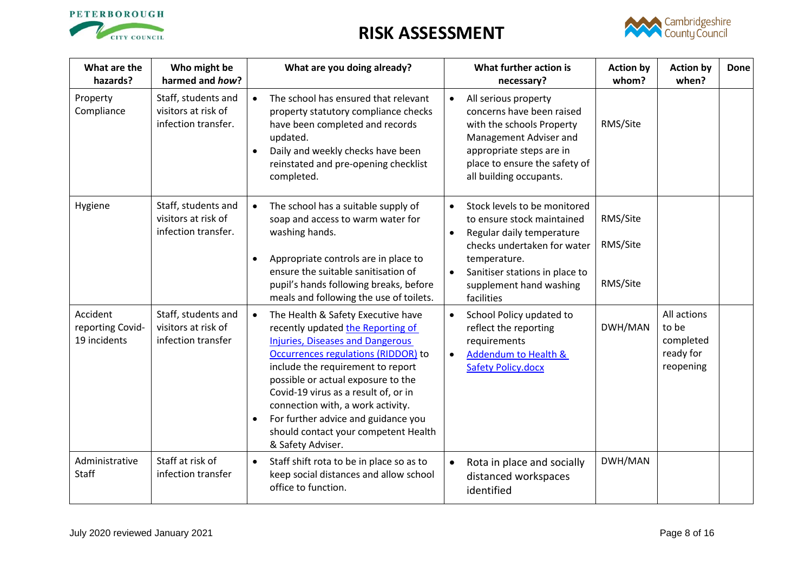



<span id="page-7-0"></span>

| What are the<br>hazards?                     | Who might be<br>harmed and how?                                   | What are you doing already?                                                                                                                                                                                                                                                                                                                                                                                                        |           | What further action is<br>necessary?                                                                                                                                                                              | <b>Action by</b><br>whom?        | <b>Action by</b><br>when?                                   | Done |
|----------------------------------------------|-------------------------------------------------------------------|------------------------------------------------------------------------------------------------------------------------------------------------------------------------------------------------------------------------------------------------------------------------------------------------------------------------------------------------------------------------------------------------------------------------------------|-----------|-------------------------------------------------------------------------------------------------------------------------------------------------------------------------------------------------------------------|----------------------------------|-------------------------------------------------------------|------|
| Property<br>Compliance                       | Staff, students and<br>visitors at risk of<br>infection transfer. | The school has ensured that relevant<br>$\bullet$<br>property statutory compliance checks<br>have been completed and records<br>updated.<br>Daily and weekly checks have been<br>reinstated and pre-opening checklist<br>completed.                                                                                                                                                                                                |           | All serious property<br>concerns have been raised<br>with the schools Property<br>Management Adviser and<br>appropriate steps are in<br>place to ensure the safety of<br>all building occupants.                  | RMS/Site                         |                                                             |      |
| Hygiene                                      | Staff, students and<br>visitors at risk of<br>infection transfer. | The school has a suitable supply of<br>$\bullet$<br>soap and access to warm water for<br>washing hands.<br>Appropriate controls are in place to<br>ensure the suitable sanitisation of<br>pupil's hands following breaks, before<br>meals and following the use of toilets.                                                                                                                                                        | $\bullet$ | Stock levels to be monitored<br>to ensure stock maintained<br>Regular daily temperature<br>checks undertaken for water<br>temperature.<br>Sanitiser stations in place to<br>supplement hand washing<br>facilities | RMS/Site<br>RMS/Site<br>RMS/Site |                                                             |      |
| Accident<br>reporting Covid-<br>19 incidents | Staff, students and<br>visitors at risk of<br>infection transfer  | The Health & Safety Executive have<br>$\bullet$<br>recently updated the Reporting of<br><b>Injuries, Diseases and Dangerous</b><br>Occurrences regulations (RIDDOR) to<br>include the requirement to report<br>possible or actual exposure to the<br>Covid-19 virus as a result of, or in<br>connection with, a work activity.<br>For further advice and guidance you<br>should contact your competent Health<br>& Safety Adviser. |           | School Policy updated to<br>reflect the reporting<br>requirements<br><b>Addendum to Health &amp;</b><br><b>Safety Policy.docx</b>                                                                                 | DWH/MAN                          | All actions<br>to be<br>completed<br>ready for<br>reopening |      |
| Administrative<br><b>Staff</b>               | Staff at risk of<br>infection transfer                            | Staff shift rota to be in place so as to<br>$\bullet$<br>keep social distances and allow school<br>office to function.                                                                                                                                                                                                                                                                                                             |           | Rota in place and socially<br>distanced workspaces<br>identified                                                                                                                                                  | DWH/MAN                          |                                                             |      |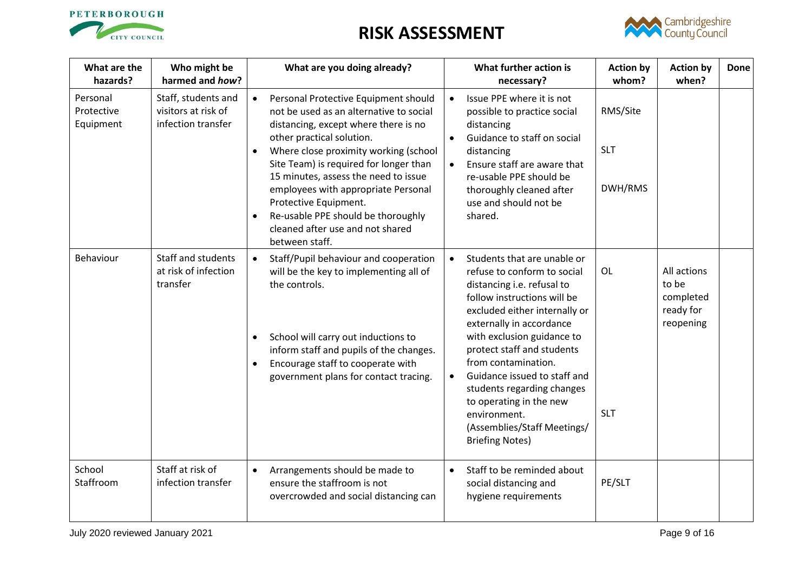



<span id="page-8-0"></span>

| What are the<br>hazards?            | Who might be<br>harmed and how?                                  | What are you doing already?                                                                                                                                                                                                                                                                                                                                                                                                                              |           | What further action is<br>necessary?                                                                                                                                                                                                                                                                                                                                                                                                      | <b>Action by</b><br>whom?         | <b>Action by</b><br>when?                                   | <b>Done</b> |
|-------------------------------------|------------------------------------------------------------------|----------------------------------------------------------------------------------------------------------------------------------------------------------------------------------------------------------------------------------------------------------------------------------------------------------------------------------------------------------------------------------------------------------------------------------------------------------|-----------|-------------------------------------------------------------------------------------------------------------------------------------------------------------------------------------------------------------------------------------------------------------------------------------------------------------------------------------------------------------------------------------------------------------------------------------------|-----------------------------------|-------------------------------------------------------------|-------------|
| Personal<br>Protective<br>Equipment | Staff, students and<br>visitors at risk of<br>infection transfer | Personal Protective Equipment should<br>$\bullet$<br>not be used as an alternative to social<br>distancing, except where there is no<br>other practical solution.<br>Where close proximity working (school<br>Site Team) is required for longer than<br>15 minutes, assess the need to issue<br>employees with appropriate Personal<br>Protective Equipment.<br>Re-usable PPE should be thoroughly<br>cleaned after use and not shared<br>between staff. |           | Issue PPE where it is not<br>possible to practice social<br>distancing<br>Guidance to staff on social<br>distancing<br>Ensure staff are aware that<br>re-usable PPE should be<br>thoroughly cleaned after<br>use and should not be<br>shared.                                                                                                                                                                                             | RMS/Site<br><b>SLT</b><br>DWH/RMS |                                                             |             |
| Behaviour                           | Staff and students<br>at risk of infection<br>transfer           | Staff/Pupil behaviour and cooperation<br>$\bullet$<br>will be the key to implementing all of<br>the controls.<br>School will carry out inductions to<br>inform staff and pupils of the changes.<br>Encourage staff to cooperate with<br>$\bullet$<br>government plans for contact tracing.                                                                                                                                                               | $\bullet$ | Students that are unable or<br>refuse to conform to social<br>distancing i.e. refusal to<br>follow instructions will be<br>excluded either internally or<br>externally in accordance<br>with exclusion guidance to<br>protect staff and students<br>from contamination.<br>Guidance issued to staff and<br>students regarding changes<br>to operating in the new<br>environment.<br>(Assemblies/Staff Meetings/<br><b>Briefing Notes)</b> | OL<br><b>SLT</b>                  | All actions<br>to be<br>completed<br>ready for<br>reopening |             |
| School<br>Staffroom                 | Staff at risk of<br>infection transfer                           | Arrangements should be made to<br>$\bullet$<br>ensure the staffroom is not<br>overcrowded and social distancing can                                                                                                                                                                                                                                                                                                                                      | $\bullet$ | Staff to be reminded about<br>social distancing and<br>hygiene requirements                                                                                                                                                                                                                                                                                                                                                               | PE/SLT                            |                                                             |             |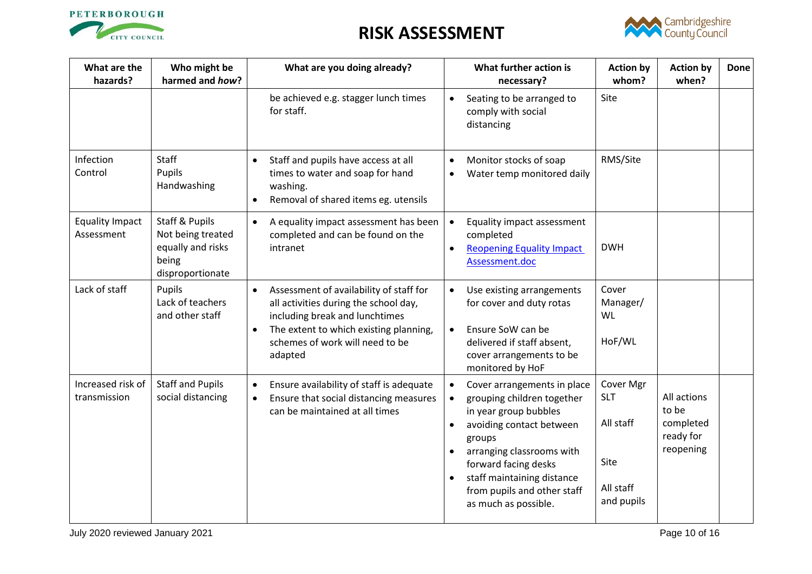



| What are the<br>hazards?             | Who might be<br>harmed and how?                                                                  | What are you doing already?                                                                                                                                                                                             |                        | What further action is<br>necessary?                                                                                                                                                                                                                               | <b>Action by</b><br>whom?                                               | <b>Action by</b><br>when?                                   | <b>Done</b> |
|--------------------------------------|--------------------------------------------------------------------------------------------------|-------------------------------------------------------------------------------------------------------------------------------------------------------------------------------------------------------------------------|------------------------|--------------------------------------------------------------------------------------------------------------------------------------------------------------------------------------------------------------------------------------------------------------------|-------------------------------------------------------------------------|-------------------------------------------------------------|-------------|
|                                      |                                                                                                  | be achieved e.g. stagger lunch times<br>for staff.                                                                                                                                                                      | $\bullet$              | Seating to be arranged to<br>comply with social<br>distancing                                                                                                                                                                                                      | Site                                                                    |                                                             |             |
| Infection<br>Control                 | Staff<br>Pupils<br>Handwashing                                                                   | Staff and pupils have access at all<br>$\bullet$<br>times to water and soap for hand<br>washing.<br>Removal of shared items eg. utensils<br>$\bullet$                                                                   | $\bullet$<br>$\bullet$ | Monitor stocks of soap<br>Water temp monitored daily                                                                                                                                                                                                               | RMS/Site                                                                |                                                             |             |
| <b>Equality Impact</b><br>Assessment | <b>Staff &amp; Pupils</b><br>Not being treated<br>equally and risks<br>being<br>disproportionate | A equality impact assessment has been<br>$\bullet$<br>completed and can be found on the<br>intranet                                                                                                                     |                        | Equality impact assessment<br>completed<br><b>Reopening Equality Impact</b><br>Assessment.doc                                                                                                                                                                      | <b>DWH</b>                                                              |                                                             |             |
| Lack of staff                        | Pupils<br>Lack of teachers<br>and other staff                                                    | Assessment of availability of staff for<br>$\bullet$<br>all activities during the school day,<br>including break and lunchtimes<br>The extent to which existing planning,<br>schemes of work will need to be<br>adapted | $\bullet$              | Use existing arrangements<br>for cover and duty rotas<br>Ensure SoW can be<br>delivered if staff absent,<br>cover arrangements to be<br>monitored by HoF                                                                                                           | Cover<br>Manager/<br>WL<br>HoF/WL                                       |                                                             |             |
| Increased risk of<br>transmission    | <b>Staff and Pupils</b><br>social distancing                                                     | Ensure availability of staff is adequate<br>$\bullet$<br>Ensure that social distancing measures<br>$\bullet$<br>can be maintained at all times                                                                          | $\bullet$              | Cover arrangements in place<br>grouping children together<br>in year group bubbles<br>avoiding contact between<br>groups<br>arranging classrooms with<br>forward facing desks<br>staff maintaining distance<br>from pupils and other staff<br>as much as possible. | Cover Mgr<br><b>SLT</b><br>All staff<br>Site<br>All staff<br>and pupils | All actions<br>to be<br>completed<br>ready for<br>reopening |             |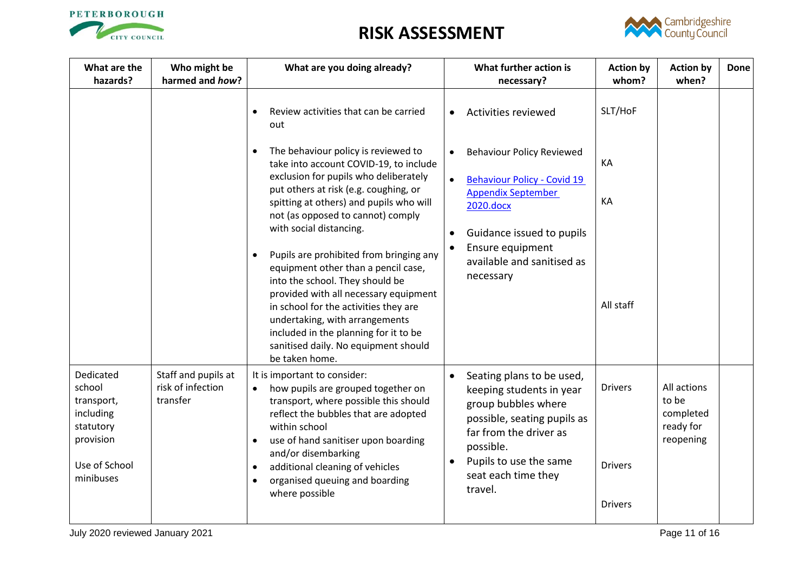



| What are the<br>hazards?                                                                                                                                                                                                                                                                                                                          | Who might be<br>harmed and how?                                                                       | What are you doing already?                                                                                                                                                                                                                                                                                                                              |           | What further action is<br>necessary?                                                                                                                                                                           | <b>Action by</b><br>whom?                          | <b>Action by</b><br>when?                                   | <b>Done</b> |
|---------------------------------------------------------------------------------------------------------------------------------------------------------------------------------------------------------------------------------------------------------------------------------------------------------------------------------------------------|-------------------------------------------------------------------------------------------------------|----------------------------------------------------------------------------------------------------------------------------------------------------------------------------------------------------------------------------------------------------------------------------------------------------------------------------------------------------------|-----------|----------------------------------------------------------------------------------------------------------------------------------------------------------------------------------------------------------------|----------------------------------------------------|-------------------------------------------------------------|-------------|
|                                                                                                                                                                                                                                                                                                                                                   |                                                                                                       | Review activities that can be carried<br>out                                                                                                                                                                                                                                                                                                             | $\bullet$ | <b>Activities reviewed</b>                                                                                                                                                                                     | SLT/HoF                                            |                                                             |             |
|                                                                                                                                                                                                                                                                                                                                                   |                                                                                                       | The behaviour policy is reviewed to<br>take into account COVID-19, to include<br>exclusion for pupils who deliberately                                                                                                                                                                                                                                   |           | <b>Behaviour Policy Reviewed</b><br><b>Behaviour Policy - Covid 19</b>                                                                                                                                         | KA                                                 |                                                             |             |
|                                                                                                                                                                                                                                                                                                                                                   |                                                                                                       | put others at risk (e.g. coughing, or<br>spitting at others) and pupils who will<br>not (as opposed to cannot) comply                                                                                                                                                                                                                                    |           | <b>Appendix September</b><br>2020.docx                                                                                                                                                                         | KA                                                 |                                                             |             |
| with social distancing.<br>Pupils are prohibited from bringing any<br>equipment other than a pencil case,<br>into the school. They should be<br>provided with all necessary equipment<br>in school for the activities they are<br>undertaking, with arrangements<br>included in the planning for it to be<br>sanitised daily. No equipment should | Guidance issued to pupils<br>$\bullet$<br>Ensure equipment<br>available and sanitised as<br>necessary | All staff                                                                                                                                                                                                                                                                                                                                                |           |                                                                                                                                                                                                                |                                                    |                                                             |             |
| Dedicated<br>school<br>transport,<br>including<br>statutory<br>provision<br>Use of School<br>minibuses                                                                                                                                                                                                                                            | Staff and pupils at<br>risk of infection<br>transfer                                                  | be taken home.<br>It is important to consider:<br>how pupils are grouped together on<br>$\bullet$<br>transport, where possible this should<br>reflect the bubbles that are adopted<br>within school<br>use of hand sanitiser upon boarding<br>and/or disembarking<br>additional cleaning of vehicles<br>organised queuing and boarding<br>where possible |           | Seating plans to be used,<br>keeping students in year<br>group bubbles where<br>possible, seating pupils as<br>far from the driver as<br>possible.<br>Pupils to use the same<br>seat each time they<br>travel. | <b>Drivers</b><br><b>Drivers</b><br><b>Drivers</b> | All actions<br>to be<br>completed<br>ready for<br>reopening |             |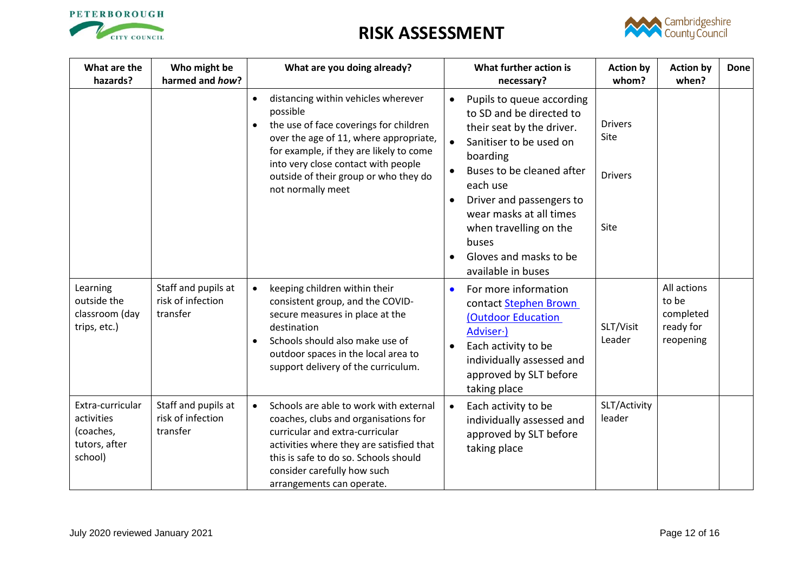



| What are the<br>hazards?                                                | Who might be<br>harmed and how?                      | What are you doing already?                                                                                                                                                                                                                                                                                   | What further action is<br><b>Action by</b><br><b>Action by</b><br>whom?<br>when?<br>necessary?                                                                                                                                                                                                                                                                                                                       | <b>Done</b> |
|-------------------------------------------------------------------------|------------------------------------------------------|---------------------------------------------------------------------------------------------------------------------------------------------------------------------------------------------------------------------------------------------------------------------------------------------------------------|----------------------------------------------------------------------------------------------------------------------------------------------------------------------------------------------------------------------------------------------------------------------------------------------------------------------------------------------------------------------------------------------------------------------|-------------|
|                                                                         |                                                      | distancing within vehicles wherever<br>$\bullet$<br>possible<br>the use of face coverings for children<br>$\bullet$<br>over the age of 11, where appropriate,<br>for example, if they are likely to come<br>into very close contact with people<br>outside of their group or who they do<br>not normally meet | Pupils to queue according<br>$\bullet$<br>to SD and be directed to<br><b>Drivers</b><br>their seat by the driver.<br>Site<br>Sanitiser to be used on<br>$\bullet$<br>boarding<br>Buses to be cleaned after<br><b>Drivers</b><br>each use<br>Driver and passengers to<br>$\bullet$<br>wear masks at all times<br>Site<br>when travelling on the<br>buses<br>Gloves and masks to be<br>$\bullet$<br>available in buses |             |
| Learning<br>outside the<br>classroom (day<br>trips, etc.)               | Staff and pupils at<br>risk of infection<br>transfer | keeping children within their<br>$\bullet$<br>consistent group, and the COVID-<br>secure measures in place at the<br>destination<br>Schools should also make use of<br>outdoor spaces in the local area to<br>support delivery of the curriculum.                                                             | All actions<br>For more information<br>$\bullet$<br>to be<br>contact Stephen Brown<br>completed<br>(Outdoor Education<br>SLT/Visit<br>ready for<br>Adviser ·)<br>Leader<br>reopening<br>Each activity to be<br>individually assessed and<br>approved by SLT before<br>taking place                                                                                                                                   |             |
| Extra-curricular<br>activities<br>(coaches,<br>tutors, after<br>school) | Staff and pupils at<br>risk of infection<br>transfer | Schools are able to work with external<br>$\bullet$<br>coaches, clubs and organisations for<br>curricular and extra-curricular<br>activities where they are satisfied that<br>this is safe to do so. Schools should<br>consider carefully how such<br>arrangements can operate.                               | SLT/Activity<br>Each activity to be<br>leader<br>individually assessed and<br>approved by SLT before<br>taking place                                                                                                                                                                                                                                                                                                 |             |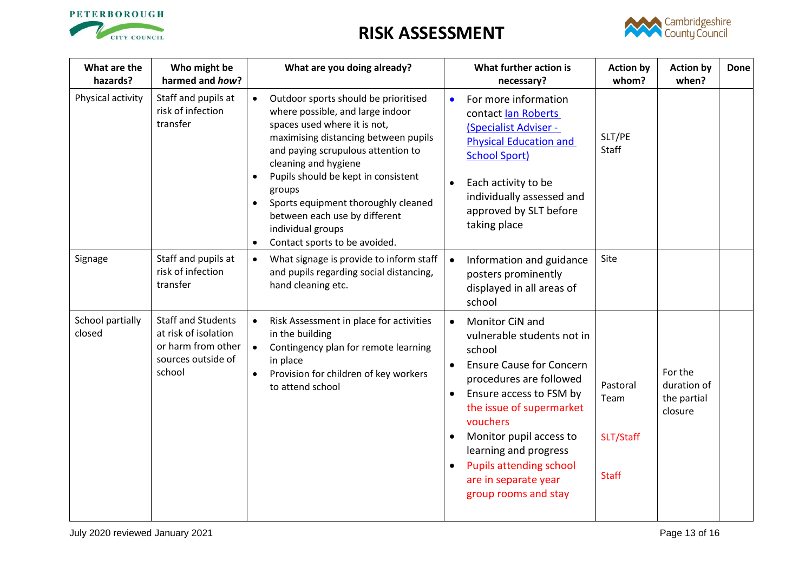



| What are the<br>hazards?   | Who might be<br>harmed and how?                                                                         | What are you doing already?                                                                                                                                                                                                                                                                                                                                                                                |                                     | What further action is<br>necessary?                                                                                                                                                                                                                                                                                                  | <b>Action by</b><br>whom?                     | <b>Action by</b><br>when?                        | Done |
|----------------------------|---------------------------------------------------------------------------------------------------------|------------------------------------------------------------------------------------------------------------------------------------------------------------------------------------------------------------------------------------------------------------------------------------------------------------------------------------------------------------------------------------------------------------|-------------------------------------|---------------------------------------------------------------------------------------------------------------------------------------------------------------------------------------------------------------------------------------------------------------------------------------------------------------------------------------|-----------------------------------------------|--------------------------------------------------|------|
| Physical activity          | Staff and pupils at<br>risk of infection<br>transfer                                                    | Outdoor sports should be prioritised<br>$\bullet$<br>where possible, and large indoor<br>spaces used where it is not,<br>maximising distancing between pupils<br>and paying scrupulous attention to<br>cleaning and hygiene<br>Pupils should be kept in consistent<br>groups<br>Sports equipment thoroughly cleaned<br>between each use by different<br>individual groups<br>Contact sports to be avoided. | $\bullet$                           | For more information<br>contact lan Roberts<br>(Specialist Adviser -<br><b>Physical Education and</b><br><b>School Sport)</b><br>Each activity to be<br>individually assessed and<br>approved by SLT before<br>taking place                                                                                                           | SLT/PE<br>Staff                               |                                                  |      |
| Signage                    | Staff and pupils at<br>risk of infection<br>transfer                                                    | What signage is provide to inform staff<br>$\bullet$<br>and pupils regarding social distancing,<br>hand cleaning etc.                                                                                                                                                                                                                                                                                      |                                     | Information and guidance<br>posters prominently<br>displayed in all areas of<br>school                                                                                                                                                                                                                                                | Site                                          |                                                  |      |
| School partially<br>closed | <b>Staff and Students</b><br>at risk of isolation<br>or harm from other<br>sources outside of<br>school | Risk Assessment in place for activities<br>$\bullet$<br>in the building<br>Contingency plan for remote learning<br>$\bullet$<br>in place<br>Provision for children of key workers<br>$\bullet$<br>to attend school                                                                                                                                                                                         | $\bullet$<br>$\bullet$<br>$\bullet$ | <b>Monitor CiN and</b><br>vulnerable students not in<br>school<br><b>Ensure Cause for Concern</b><br>procedures are followed<br>Ensure access to FSM by<br>the issue of supermarket<br>vouchers<br>Monitor pupil access to<br>learning and progress<br><b>Pupils attending school</b><br>are in separate year<br>group rooms and stay | Pastoral<br>Team<br>SLT/Staff<br><b>Staff</b> | For the<br>duration of<br>the partial<br>closure |      |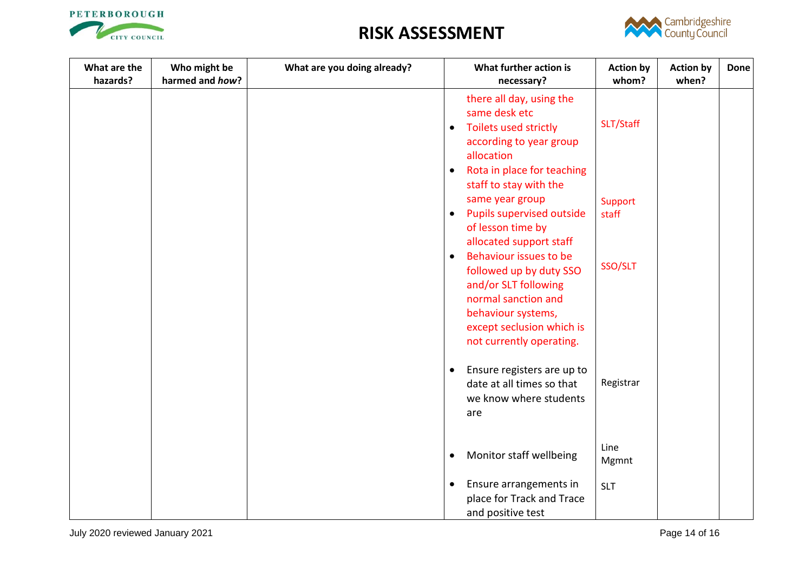



| What are the<br>hazards? | Who might be<br>harmed and how? | What are you doing already? | What further action is<br>necessary?                                                                                                                                                         | <b>Action by</b><br>whom? | <b>Action by</b><br>when? | <b>Done</b> |
|--------------------------|---------------------------------|-----------------------------|----------------------------------------------------------------------------------------------------------------------------------------------------------------------------------------------|---------------------------|---------------------------|-------------|
|                          |                                 |                             | there all day, using the<br>same desk etc<br>Toilets used strictly<br>$\bullet$<br>according to year group<br>allocation                                                                     | SLT/Staff                 |                           |             |
|                          |                                 |                             | Rota in place for teaching<br>$\bullet$<br>staff to stay with the<br>same year group<br><b>Pupils supervised outside</b><br>$\bullet$<br>of lesson time by<br>allocated support staff        | Support<br>staff          |                           |             |
|                          |                                 |                             | Behaviour issues to be<br>$\bullet$<br>followed up by duty SSO<br>and/or SLT following<br>normal sanction and<br>behaviour systems,<br>except seclusion which is<br>not currently operating. | SSO/SLT                   |                           |             |
|                          |                                 |                             | Ensure registers are up to<br>$\bullet$<br>date at all times so that<br>we know where students<br>are                                                                                        | Registrar                 |                           |             |
|                          |                                 |                             | Monitor staff wellbeing<br>$\bullet$                                                                                                                                                         | Line<br>Mgmnt             |                           |             |
|                          |                                 |                             | Ensure arrangements in<br>$\bullet$<br>place for Track and Trace<br>and positive test                                                                                                        | <b>SLT</b>                |                           |             |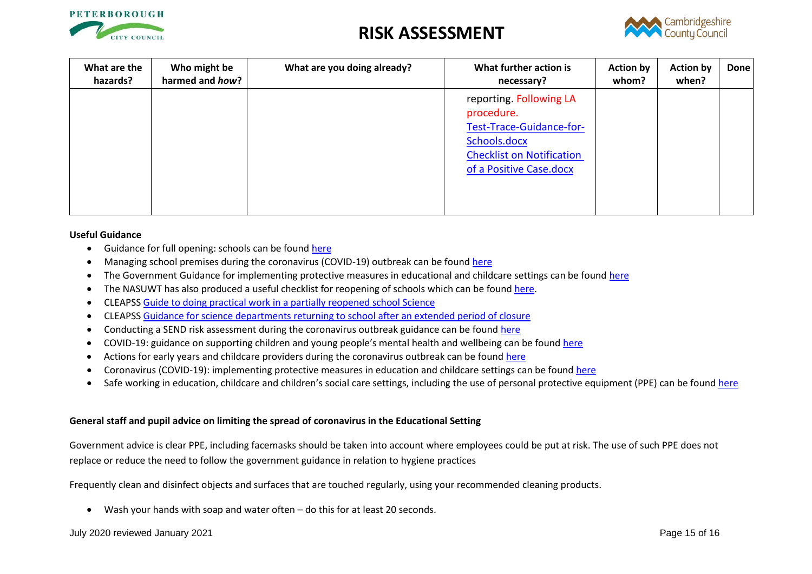



| What are the<br>hazards? | Who might be<br>harmed and how? | What are you doing already? | What further action is<br>necessary?                                                                                                             | <b>Action by</b><br>whom? | <b>Action by</b><br>when? | <b>Done</b> |
|--------------------------|---------------------------------|-----------------------------|--------------------------------------------------------------------------------------------------------------------------------------------------|---------------------------|---------------------------|-------------|
|                          |                                 |                             | reporting. Following LA<br>procedure.<br>Test-Trace-Guidance-for-<br>Schools.docx<br><b>Checklist on Notification</b><br>of a Positive Case.docx |                           |                           |             |

#### **Useful Guidance**

- Guidance for full opening: schools can be found [here](https://www.gov.uk/government/publications/actions-for-schools-during-the-coronavirus-outbreak/guidance-for-full-opening-schools#A)
- Managing school premises during the coronavirus (COVID-19) outbreak can be foun[d here](https://www.gov.uk/government/publications/managing-school-premises-during-the-coronavirus-outbreak/managing-school-premises-which-are-partially-open-during-the-coronavirus-outbreak#fire-safety)
- The Government Guidance for implementing protective measures in educational and childcare settings can be foun[d here](https://www.gov.uk/government/publications/coronavirus-covid-19-implementing-protective-measures-in-education-and-childcare-settings/coronavirus-covid-19-implementing-protective-measures-in-education-and-childcare-settings#class-or-group-sizes)
- The NASUWT has also produced a useful checklist for reopening of schools which can be found [here.](https://www.nasuwt.org.uk/uploads/assets/uploaded/d8b46e47-fa23-466c-af6e4d55e3022efd.pdf)
- CLEAPS[S Guide to doing practical work in a partially reopened school Science](https://public.huddle.com/a/lrVPERK/index.html)
- CLEAPS[S Guidance for science departments returning to school after an extended period of closure](https://public.huddle.com/a/VdRjYeV/index.html)
- Conducting a SEND risk assessment during the coronavirus outbreak guidance can be found [here](https://www.gov.uk/government/publications/coronavirus-covid-19-send-risk-assessment-guidance)
- COVID-19: guidance on supporting children and young people's mental health and wellbeing can be found [here](https://www.gov.uk/government/publications/covid-19-guidance-on-supporting-children-and-young-peoples-mental-health-and-wellbeing)
- Actions for early years and childcare providers during the coronavirus outbreak can be foun[d here](https://www.gov.uk/government/publications/coronavirus-covid-19-early-years-and-childcare-closures/coronavirus-covid-19-early-years-and-childcare-closures)
- Coronavirus (COVID-19): implementing protective measures in education and childcare settings can be found [here](https://www.gov.uk/government/publications/coronavirus-covid-19-implementing-protective-measures-in-education-and-childcare-settings/coronavirus-covid-19-implementing-protective-measures-in-education-and-childcare-settings)
- Safe working in education, childcare and children's social care settings, including the use of personal protective equipment (PPE) can be found [here](https://www.gov.uk/government/publications/safe-working-in-education-childcare-and-childrens-social-care/safe-working-in-education-childcare-and-childrens-social-care-settings-including-the-use-of-personal-protective-equipment-ppe)

#### **General staff and pupil advice on limiting the spread of coronavirus in the Educational Setting**

Government advice is clear PPE, including facemasks should be taken into account where employees could be put at risk. The use of such PPE does not replace or reduce the need to follow the government guidance in relation to hygiene practices

Frequently clean and disinfect objects and surfaces that are touched regularly, using your recommended cleaning products.

Wash your hands with soap and water often – do this for at least 20 seconds.